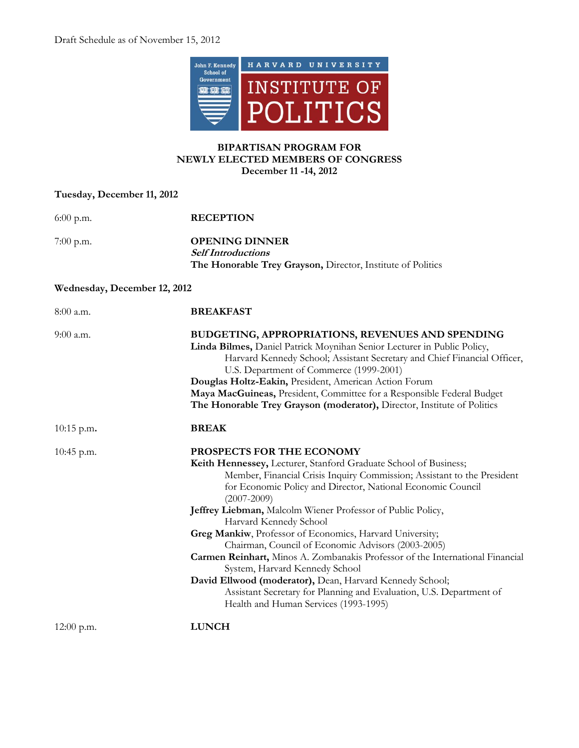

## **BIPARTISAN PROGRAM FOR NEWLY ELECTED MEMBERS OF CONGRESS December 11 -14, 2012**

## **Tuesday, December 11, 2012**

| $6:00$ p.m.                  | <b>RECEPTION</b>                                                                                                                                                                                                                                                                                                                                                                                                                                                                                                                                                                                                                                                                                                                                                     |  |
|------------------------------|----------------------------------------------------------------------------------------------------------------------------------------------------------------------------------------------------------------------------------------------------------------------------------------------------------------------------------------------------------------------------------------------------------------------------------------------------------------------------------------------------------------------------------------------------------------------------------------------------------------------------------------------------------------------------------------------------------------------------------------------------------------------|--|
| $7:00$ p.m.                  | <b>OPENING DINNER</b><br><b>Self Introductions</b><br>The Honorable Trey Grayson, Director, Institute of Politics                                                                                                                                                                                                                                                                                                                                                                                                                                                                                                                                                                                                                                                    |  |
| Wednesday, December 12, 2012 |                                                                                                                                                                                                                                                                                                                                                                                                                                                                                                                                                                                                                                                                                                                                                                      |  |
| 8:00 a.m.                    | <b>BREAKFAST</b>                                                                                                                                                                                                                                                                                                                                                                                                                                                                                                                                                                                                                                                                                                                                                     |  |
| 9:00 a.m.                    | BUDGETING, APPROPRIATIONS, REVENUES AND SPENDING<br>Linda Bilmes, Daniel Patrick Moynihan Senior Lecturer in Public Policy,<br>Harvard Kennedy School; Assistant Secretary and Chief Financial Officer,<br>U.S. Department of Commerce (1999-2001)<br>Douglas Holtz-Eakin, President, American Action Forum<br>Maya MacGuineas, President, Committee for a Responsible Federal Budget<br>The Honorable Trey Grayson (moderator), Director, Institute of Politics                                                                                                                                                                                                                                                                                                     |  |
| $10:15$ p.m.                 | <b>BREAK</b>                                                                                                                                                                                                                                                                                                                                                                                                                                                                                                                                                                                                                                                                                                                                                         |  |
| 10:45 p.m.                   | PROSPECTS FOR THE ECONOMY<br>Keith Hennessey, Lecturer, Stanford Graduate School of Business;<br>Member, Financial Crisis Inquiry Commission; Assistant to the President<br>for Economic Policy and Director, National Economic Council<br>$(2007 - 2009)$<br>Jeffrey Liebman, Malcolm Wiener Professor of Public Policy,<br>Harvard Kennedy School<br>Greg Mankiw, Professor of Economics, Harvard University;<br>Chairman, Council of Economic Advisors (2003-2005)<br>Carmen Reinhart, Minos A. Zombanakis Professor of the International Financial<br>System, Harvard Kennedy School<br>David Ellwood (moderator), Dean, Harvard Kennedy School;<br>Assistant Secretary for Planning and Evaluation, U.S. Department of<br>Health and Human Services (1993-1995) |  |
| $12:00$ p.m.                 | <b>LUNCH</b>                                                                                                                                                                                                                                                                                                                                                                                                                                                                                                                                                                                                                                                                                                                                                         |  |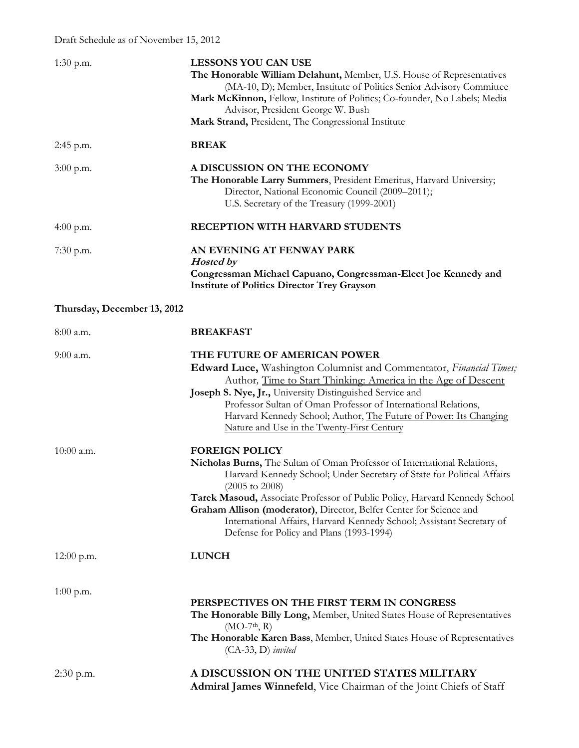| $1:30$ p.m.                 | <b>LESSONS YOU CAN USE</b><br>The Honorable William Delahunt, Member, U.S. House of Representatives<br>(MA-10, D); Member, Institute of Politics Senior Advisory Committee<br>Mark McKinnon, Fellow, Institute of Politics; Co-founder, No Labels; Media<br>Advisor, President George W. Bush<br>Mark Strand, President, The Congressional Institute                                                                                                                               |
|-----------------------------|------------------------------------------------------------------------------------------------------------------------------------------------------------------------------------------------------------------------------------------------------------------------------------------------------------------------------------------------------------------------------------------------------------------------------------------------------------------------------------|
| $2:45$ p.m.                 | <b>BREAK</b>                                                                                                                                                                                                                                                                                                                                                                                                                                                                       |
| $3:00$ p.m.                 | A DISCUSSION ON THE ECONOMY<br>The Honorable Larry Summers, President Emeritus, Harvard University;<br>Director, National Economic Council (2009–2011);<br>U.S. Secretary of the Treasury (1999-2001)                                                                                                                                                                                                                                                                              |
| 4:00 p.m.                   | RECEPTION WITH HARVARD STUDENTS                                                                                                                                                                                                                                                                                                                                                                                                                                                    |
| 7:30 p.m.                   | AN EVENING AT FENWAY PARK<br><b>Hosted by</b><br>Congressman Michael Capuano, Congressman-Elect Joe Kennedy and<br><b>Institute of Politics Director Trey Grayson</b>                                                                                                                                                                                                                                                                                                              |
| Thursday, December 13, 2012 |                                                                                                                                                                                                                                                                                                                                                                                                                                                                                    |
| $8:00$ a.m.                 | <b>BREAKFAST</b>                                                                                                                                                                                                                                                                                                                                                                                                                                                                   |
| $9:00$ a.m.                 | THE FUTURE OF AMERICAN POWER<br>Edward Luce, Washington Columnist and Commentator, Financial Times;<br>Author, Time to Start Thinking: America in the Age of Descent<br>Joseph S. Nye, Jr., University Distinguished Service and<br>Professor Sultan of Oman Professor of International Relations,<br>Harvard Kennedy School; Author, The Future of Power: Its Changing<br>Nature and Use in the Twenty-First Century                                                              |
| $10:00$ a.m.                | <b>FOREIGN POLICY</b><br>Nicholas Burns, The Sultan of Oman Professor of International Relations,<br>Harvard Kennedy School; Under Secretary of State for Political Affairs<br>$(2005 \text{ to } 2008)$<br>Tarek Masoud, Associate Professor of Public Policy, Harvard Kennedy School<br>Graham Allison (moderator), Director, Belfer Center for Science and<br>International Affairs, Harvard Kennedy School; Assistant Secretary of<br>Defense for Policy and Plans (1993-1994) |
| $12:00$ p.m.                | <b>LUNCH</b>                                                                                                                                                                                                                                                                                                                                                                                                                                                                       |
| $1:00$ p.m.                 | PERSPECTIVES ON THE FIRST TERM IN CONGRESS<br>The Honorable Billy Long, Member, United States House of Representatives<br>$(MO-7th, R)$<br>The Honorable Karen Bass, Member, United States House of Representatives<br>$(CA-33, D)$ invited                                                                                                                                                                                                                                        |
| $2:30$ p.m.                 | A DISCUSSION ON THE UNITED STATES MILITARY<br>Admiral James Winnefeld, Vice Chairman of the Joint Chiefs of Staff                                                                                                                                                                                                                                                                                                                                                                  |